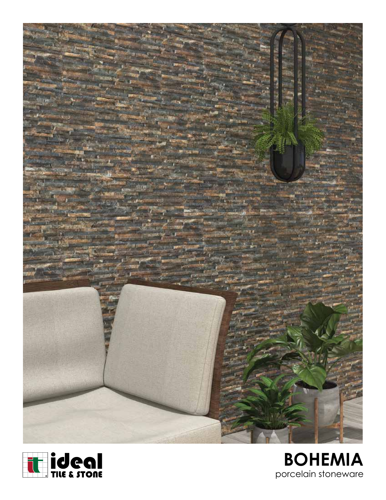



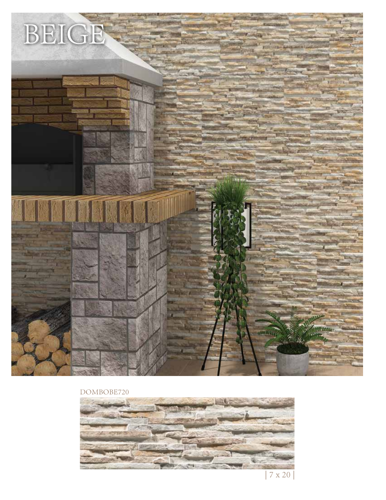

DOMBOBE720



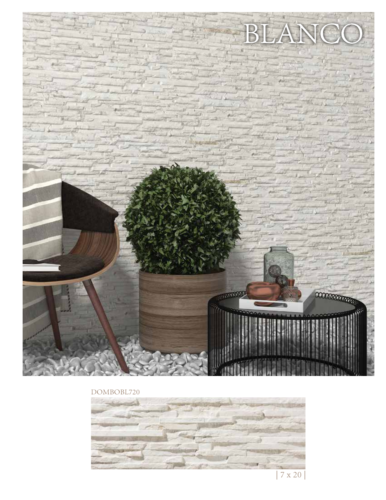

DOMBOBL720



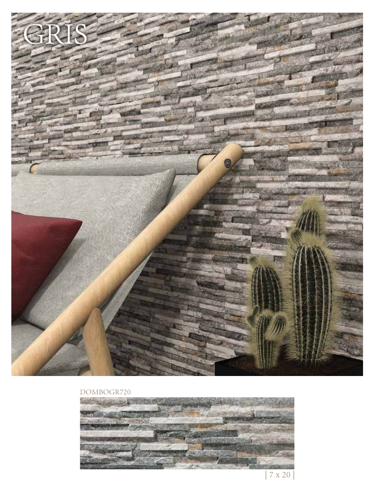

## DOMBOGR720



 <sup>| 7</sup> x 20 |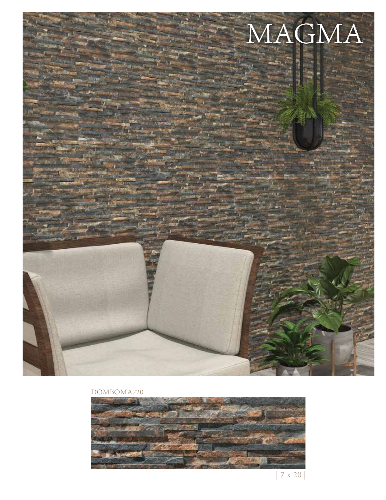

## DOMBOMA720



 $7$  x  $20\,$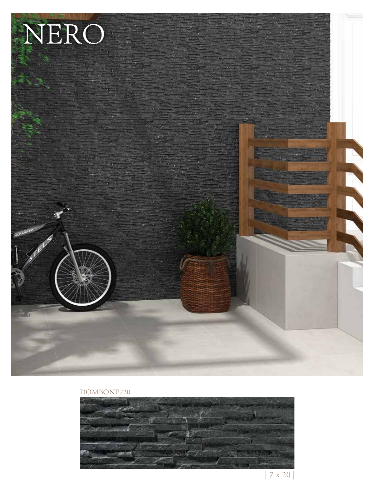

## DOMBONE720



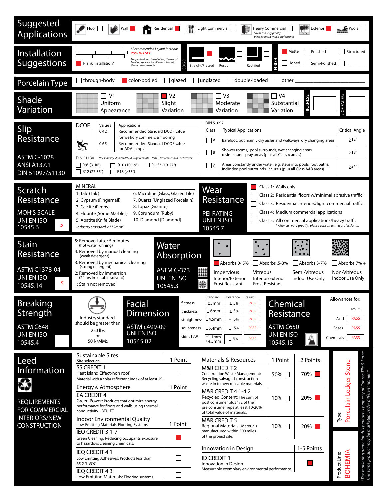| Suggested<br><b>Applications</b>                                                  | Floor <br>Wall<br>Residential                                                                                                                                                                                                                                                                                                                                                                                                                                                                                                                                                                                                                                                                                         |                           | Light Commercial<br>【鵬<br>*Wear can vary greatly.                                                                                                                                                                                                                                                                                                                                                      | Heavy Commercial<br>please consult with a professional. | <b>Exterior</b>             | $\mathbf{F}$ Pools                                                                                                                                                                           |
|-----------------------------------------------------------------------------------|-----------------------------------------------------------------------------------------------------------------------------------------------------------------------------------------------------------------------------------------------------------------------------------------------------------------------------------------------------------------------------------------------------------------------------------------------------------------------------------------------------------------------------------------------------------------------------------------------------------------------------------------------------------------------------------------------------------------------|---------------------------|--------------------------------------------------------------------------------------------------------------------------------------------------------------------------------------------------------------------------------------------------------------------------------------------------------------------------------------------------------------------------------------------------------|---------------------------------------------------------|-----------------------------|----------------------------------------------------------------------------------------------------------------------------------------------------------------------------------------------|
| Installation<br><b>Suggestions</b>                                                | *Recommended Layout Method:<br>Polished<br>Structured<br>Matte<br>25% OFFSET.<br>For professional installation, the use of<br>leveling spacers for all plank format<br>Semi-Polished<br>Plank Installation*<br>  Honed<br>tiles is recommended.<br>Straight/Pressed<br>Rectified<br>Rustic                                                                                                                                                                                                                                                                                                                                                                                                                            |                           |                                                                                                                                                                                                                                                                                                                                                                                                        |                                                         |                             |                                                                                                                                                                                              |
| Porcelain Type                                                                    | through-body<br>color-bodied<br>double-loaded<br>  glazed<br>unglazed<br>l lother                                                                                                                                                                                                                                                                                                                                                                                                                                                                                                                                                                                                                                     |                           |                                                                                                                                                                                                                                                                                                                                                                                                        |                                                         |                             |                                                                                                                                                                                              |
| Shade<br>Variation                                                                | V <sub>2</sub><br>V <sub>3</sub><br>ヿ V4<br>∣ V1<br>$\overline{\phantom{a}}$<br><b>THICKNESS</b><br><b>FACES</b><br>Uniform<br>Slight<br>Substantial<br>Moderate<br>OF<br>Variation<br>Variation<br>Appearance<br>Variation                                                                                                                                                                                                                                                                                                                                                                                                                                                                                           |                           |                                                                                                                                                                                                                                                                                                                                                                                                        |                                                         |                             |                                                                                                                                                                                              |
| Slip<br>Resistance<br><b>ASTM C-1028</b><br><b>ANSI A137.1</b><br>DIN 51097/51130 | <b>DCOF</b><br>Applications<br><u>Values</u><br>0.42<br>Recommended Standard DCOF value<br>for wet/dry commercial flooring<br>ধ্য<br>0.65<br>Recommended Standard DCOF value<br>for ADA ramps<br>DIN 51130<br>*R9: Industry Standard/ADA Requirements **R11: Recommended For Exteriors<br>R9* (3-10°)<br>$\Box$ R10 (10-19°)<br>$\parallel$ R11** (19-27°)<br>$\Box$ R12 (27-35°)<br>$\Box$ R13 (>35°)                                                                                                                                                                                                                                                                                                                |                           | DIN 51097<br><b>Typical Applications</b><br>Class<br>   A<br>Barefoot, but mainly dry aisles and walkways, dry changing areas<br>Shower rooms, pool surrounds, wet changing areas,<br>$\Box$ B<br>disinfectant spray areas (plus all Class A areas)<br>Areas constantly under water, e.g. steps into pools, foot baths,<br>$  \;  $ C<br>inclinded pool surrounds, jacuzzis (plus all Class A&B areas) |                                                         |                             | <b>Critical Angle</b><br>$\geq$ 12°<br>$\geq$ 18°<br>$>24^\circ$                                                                                                                             |
| Scratch<br>Resistance<br><b>MOH'S SCALE</b><br>UNI EN ISO<br>5<br>10545.6         | <b>MINERAL</b><br>Class 1: Walls only<br>Wear<br>6. Microline (Glass, Glazed Tile)<br>1. Talc (Talc)<br>Class 2: Residential floors w/minimal abrasive traffic<br>Resistance<br>7. Quartz (Unglazed Porcelain)<br>2. Gypsum (Fingernail)<br>Class 3: Residential interiors/light commercial traffic<br>8. Topaz (Granite)<br>3. Calcite (Penny)<br>Class 4: Medium commercial applications<br><b>PEI RATING</b><br>9. Corundum (Ruby)<br>4. Flourite (Some Marbles)<br>UNI EN ISO<br>10. Diamond (Diamond)<br>5. Apatite (Knife Blade)<br>Class 5: All commercial applications/heavy traffic<br>*Wear can vary greatly. please consult with a professional.<br>Industry standard $\leq$ 175mm <sup>2</sup><br>10545.7 |                           |                                                                                                                                                                                                                                                                                                                                                                                                        |                                                         |                             |                                                                                                                                                                                              |
| <b>Stain</b><br>Resistance<br>ASTM C1378-04<br>UNI EN ISO<br>5<br>10545.14        | 5: Removed after 5 minutes<br>Water<br>(hot water running)<br>4: Removed by manual cleaning<br><b>Absorption</b><br>(weak detergent)<br>3: Removed by mechanical cleaning<br>Absorbs 0-.5%<br>Absorbs .5-3%<br>Absorbs 3-7%<br>Absorbs 7% +<br>(strong detergent)<br>ASTM C-373<br>掤<br>Non-Vitreous<br>Impervious<br><b>Vitreous</b><br>Semi-Vitreous<br>2: Removed by immersion<br>UNI EN ISO<br>(24 hrs in suitable solvent)<br>Interior/Exterior<br>Interior/Exterior<br>Indoor Use Only<br>Indoor Use Only<br>蠓<br><b>Frost Resistant</b><br><b>Frost Resistant</b><br>1: Stain not removed<br>10545.3                                                                                                           |                           |                                                                                                                                                                                                                                                                                                                                                                                                        |                                                         |                             |                                                                                                                                                                                              |
| <b>Breaking</b><br>Strength<br>ASTM C648<br>UNI EN ISO<br>10545.4                 | Tolerance Result<br>Standard<br>$\sqrt{\phantom{a}}$<br>Facial<br><b>Chemical</b><br>±.5%<br><b>PASS</b><br>flatness<br>±5mm<br>±.5%<br>± 6mm<br><b>PASS</b><br><b>Dimension</b><br>thickness<br>Resistance<br>Industry standard<br>Acid<br>±4.5mm<br>±.5%<br><b>PASS</b><br>straightness<br>should be greater than<br>ASTM c499-09<br>ASTM C650<br>±5.4mm<br>$\pm .6\%$<br><b>PASS</b><br>squareness<br>Bases<br>250 lbs<br>UNI EN ISO<br>UNI EN ISO<br>or<br>sides L/W<br>$\mathbb{A}$<br>±1.1mm<br>Chemicals<br>$\pm .5\%$<br><b>PASS</b><br>10545.02<br>50 N/MM2<br>$\pm 4.5$ mm<br>10545.13                                                                                                                      |                           |                                                                                                                                                                                                                                                                                                                                                                                                        |                                                         |                             | Allowances for:<br>result<br><b>PASS</b><br><b>PASS</b><br><b>PASS</b>                                                                                                                       |
| Leed<br><b>Information</b><br>8<br><b>REQUIREMENTS</b><br><b>FOR COMMERCIAL</b>   | Sustainable Sites<br>Site selection<br><b>SS CREDIT 1</b><br>Heat Island Effect-non roof<br>Material with a solar reflectant index of at least 29.<br>Energy & Atmosphere<br>EA CREDIT 4<br>Green Power: Products that optimize energy<br>performance for floors and walls using thermal                                                                                                                                                                                                                                                                                                                                                                                                                              | 1 Point<br>L.<br>1 Point  | <b>Materials &amp; Resources</b><br><b>M&amp;R CREDIT 2</b><br><b>Construction Waste Management:</b><br>Recycling salvaged construction<br>waste in to new reusable materials.<br>M&R CREDIT 4.1-4.2<br>Recycled Content: The sum of<br>post consumer plus 1/2 of the<br>pre consumer reps at least 10-20%                                                                                             | 1 Point<br>50% □<br>$10\%$                              | 2 Points<br>70%  <br>$20\%$ | Porcelain Ledger Stone                                                                                                                                                                       |
| <b>INTERIORS/NEW</b><br><b>CONSTRUCTION</b>                                       | conductivity. BTU-FT<br><b>Indoor Environmental Quality</b><br>Low-Emitting Materials-Flooring Systems<br>IEQ CREDIT 3.1-7<br>Green Cleaning: Reducing occupants exposure<br>to hazardous cleaning chemicals.<br>IEQ CREDIT 4.1<br>Low Emitting Adhesives: Products less than<br>65 G/L VOC<br><b>IEO CREDIT 4.3</b>                                                                                                                                                                                                                                                                                                                                                                                                  | 1 Point<br>$\overline{ }$ | of total value of materials.<br><b>M&amp;R CREDIT 5</b><br>Regional Materials: Materials<br>manufactured within 500 miles<br>of the project site.<br>Innovation in Design<br><b>ID CREDIT 1</b><br>Innovation in Design<br>Measurable exemplary environmental performance.                                                                                                                             | 10% □                                                   | 20%<br>1-5 Points           | "The marketing name for this product is property of Cancos Tile & Stone<br>This same product may be marketed under different names.*<br>Туре:<br>may be i<br><b>BOHEMIA</b><br>Product Line: |
|                                                                                   | $\Box$<br>Low Emitting Materials: Flooring systems.                                                                                                                                                                                                                                                                                                                                                                                                                                                                                                                                                                                                                                                                   |                           |                                                                                                                                                                                                                                                                                                                                                                                                        |                                                         |                             |                                                                                                                                                                                              |